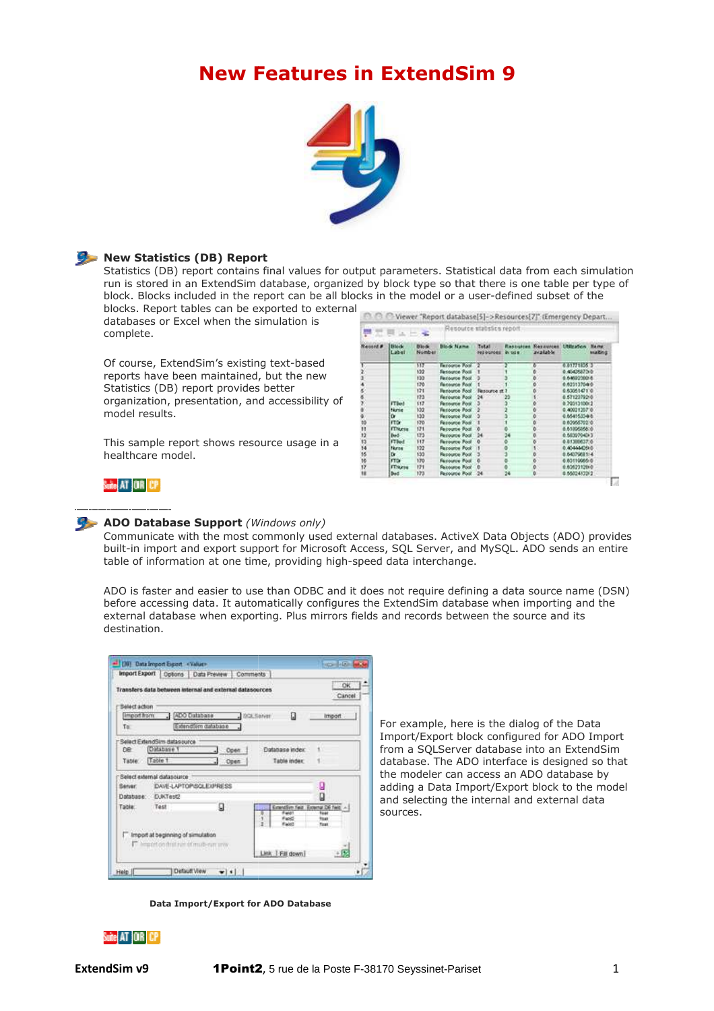# **New Features in ExtendSim 9**



#### **New Statistics (DB) Report**

Statistics (DB) report contains final values for output parameters. Statistical data from each simulation run is stored in an ExtendSim database, organized by block type so that there is one table per type of block. Blocks included in the report can be all blocks in the model or a user-defined subset of the blocks. Report tables can be exported to external

databases or Excel when the simulation is complete.

Of course, ExtendSim's existing text-based reports have been maintained, but the new Statistics (DB) report provides better organization, presentation, and accessibility of model results.

This sample report shows resource usage in a healthcare model.

| included in the report can be all blocks in the model or a user-defined subset of the<br>t tables can be exported to external                                                                                                                                   |                                      |                                                                                                         |                                                                  |                                                                                                                                                                                                                               |                                          |    |                                                     |                                                                                                                                                            |                      |
|-----------------------------------------------------------------------------------------------------------------------------------------------------------------------------------------------------------------------------------------------------------------|--------------------------------------|---------------------------------------------------------------------------------------------------------|------------------------------------------------------------------|-------------------------------------------------------------------------------------------------------------------------------------------------------------------------------------------------------------------------------|------------------------------------------|----|-----------------------------------------------------|------------------------------------------------------------------------------------------------------------------------------------------------------------|----------------------|
| Excel when the simulation is                                                                                                                                                                                                                                    | 한 도                                  | C Viewer "Report database[5]->Resources[7]" (Emergency Depart<br>Resource statistics report<br>同区       |                                                                  |                                                                                                                                                                                                                               |                                          |    |                                                     |                                                                                                                                                            |                      |
|                                                                                                                                                                                                                                                                 | Record #                             | <b>Block</b><br>Label                                                                                   | Block.<br>Number                                                 | Block Name                                                                                                                                                                                                                    | <b>Total</b><br>ned expedits. We call at |    | Resoutces Rezoutces, Utilization.<br><b>Walable</b> |                                                                                                                                                            | Nems<br><b>WARMS</b> |
| tendSim's existing text-based<br>been maintained, but the new<br>) report provides better<br>presentation, and accessibility of                                                                                                                                 |                                      | <b>FTBed</b><br>tiunie<br>ū<br><b>FTD</b>                                                               | m<br>132<br>133<br>120<br>121<br>123<br>117<br>132<br>133<br>170 | <b>Faccorde Pool</b><br><b>Fansorce Post</b><br>Ferource Pool<br><b>Recourse Pool</b><br><b>Henource Pool</b><br>Ferource Pool<br><b>Personne Pool</b><br><b>Fasocoe Pool</b><br><b>Ferouroe Post</b><br><b>Resource Pool</b> | ٠<br>Resource at 7<br>24                 | 23 |                                                     | 0.01771835.3<br>0.45426873-0<br>0.6452200.6<br>0.623137040<br>0.8305147110<br>0.57122792-0<br>0.2001310012<br>0.40221207.0<br>0.65415334-5<br>0.0305570210 |                      |
| eport shows resource usage in a<br>del.                                                                                                                                                                                                                         | 32<br>33<br>34<br>55<br>铋<br>17<br>u | <b>FTNxys</b><br><b>Ded</b><br><b>FTBod</b><br>Nuros<br>Dr.<br><b>FED</b><br><b>FENON</b><br><b>Ded</b> | 171<br>133<br>117<br>132<br>133<br>170<br>121<br>173             | <b>Feavured Pool</b><br><b>Personne Pool</b><br>Fasource Pool<br><b>Fazouros Pool</b><br><b>Resource Pool</b><br><b>Farourov Post</b><br>Faisyuros Pool<br><b>Resource Post</b> 24                                            | 24                                       | 24 | ٥<br>o                                              | 0.6100606610<br>0.5030704313<br>0.0136857.6<br>0.404440640<br>0.6437988114<br>0.0311005-0<br>0.6262312010<br>0.5502483282                                  |                      |
| and easier to use than ODBC and it does not require defining a data source name (DSN)<br>ing data. It automatically configures the ExtendSim database when importing and the<br>base when exporting. Plus mirrors fields and records between the source and its |                                      |                                                                                                         |                                                                  |                                                                                                                                                                                                                               |                                          |    |                                                     |                                                                                                                                                            |                      |
|                                                                                                                                                                                                                                                                 |                                      |                                                                                                         |                                                                  |                                                                                                                                                                                                                               |                                          |    |                                                     |                                                                                                                                                            |                      |
| card-Libra<br>cost: Valuer<br>ons   Data Preview<br>Comments                                                                                                                                                                                                    |                                      |                                                                                                         |                                                                  |                                                                                                                                                                                                                               |                                          |    |                                                     |                                                                                                                                                            |                      |
| ОK<br>en internal and external datasources<br>Cancel                                                                                                                                                                                                            |                                      |                                                                                                         |                                                                  |                                                                                                                                                                                                                               |                                          |    |                                                     |                                                                                                                                                            |                      |
| O<br><b>ADO Database</b><br>SQLServer<br>import<br>ExtendSim database<br>tas purce<br>Database index<br>Open.<br>Table index<br>Open                                                                                                                            |                                      |                                                                                                         |                                                                  | For example, here is the dialog of the Data<br>Import/Export block configured for ADO Import<br>from a SQLServer database into an ExtendSim<br>database. The ADO interface is designed so that                                |                                          |    |                                                     |                                                                                                                                                            |                      |
| <b>BUICE</b>                                                                                                                                                                                                                                                    |                                      | the modeler can access an ADO database by                                                               |                                                                  |                                                                                                                                                                                                                               |                                          |    |                                                     |                                                                                                                                                            |                      |

# Suite AT OR CP

# **ADO Database Support** *(Windows only)*

Communicate with the most commonly used external databases. ActiveX Data Objects (ADO) provides built-in import and export support for Microsoft Access, SQL Server, and MySQL. ADO sends an entire built-in import and export support for Microsoft Access, SQL Server, and<br>table of information at one time, providing high-speed data interchange.

ADO is faster and easier to use than ODBC and it does not require defining a data source name (DSN) before accessing data. It automatically configures the ExtendSim database when importing and the external database when exporting. Plus mirrors fields and records between the source and its destination.

|                                    |                                                                                                               | Transfers data between internal and external datasources. |           |                                 | OK<br>Cancel                                                                       |  |
|------------------------------------|---------------------------------------------------------------------------------------------------------------|-----------------------------------------------------------|-----------|---------------------------------|------------------------------------------------------------------------------------|--|
| Select action<br>Import from<br>Tu | ADO Database                                                                                                  | ExtendSim database                                        | BGEServer | n                               | import.                                                                            |  |
| <b>DR</b><br>Table.                | Select ExtendSim datasource<br>Cutabase 1<br>Table 1                                                          | Open<br>Open<br>J.                                        |           | Database index:<br>Table index: | š<br>1                                                                             |  |
| Server:                            | Select external datasource<br>DAVE-LAPTOP/SOLEXPRESS<br>Database D.IKTest2                                    |                                                           |           |                                 | g<br>O                                                                             |  |
| Table:                             | Test<br><b>MARKET MELLINGER</b><br>Import at beginning of simulation<br>import on that rais of multi-run univ | ы                                                         | ż         | FeldT<br><b>Facil</b><br>Fair?  | Extendive Feld Extensi D6 fwid +1<br><b>Türkê</b><br><b>Flours</b><br><b>Float</b> |  |

For example, here is the dialog of the Data Import/Export block configured for ADO Import from a SQLServer database into an ExtendSim database. The ADO interface is designed so that the modeler can access an ADO database by adding a Data Import/Export block to the model and selecting the internal and external data sources.

**Data Import/Export for ADO Database**

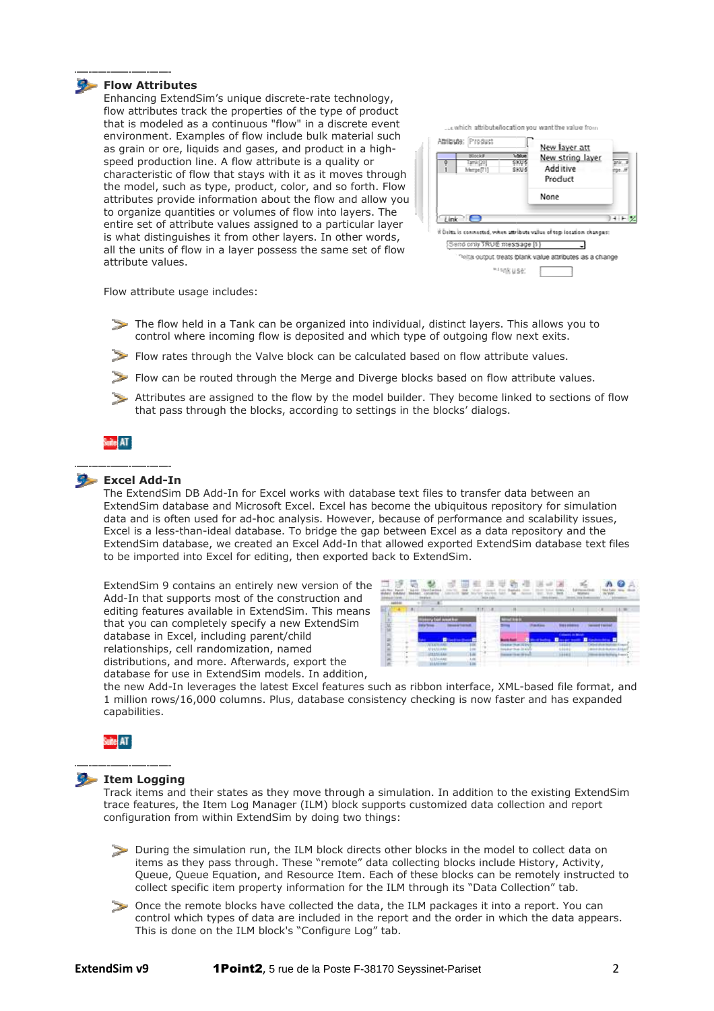#### **Flow Attributes**

Enhancing ExtendSim's unique discrete discrete-rate technology, flow attributes track the properties of the type of product that is modeled as a continuous "flow" in a discrete event environment. Examples of flow include bulk material such as grain or ore, liquids and gases, and product in a highspeed production line. A flow attribute is a quality or characteristic of flow that stays with it as it moves through the model, such as type, product, color, and so forth. Flow attributes provide information about the flow and allow you to organize quantities or volumes of flow into layers. The entire set of attribute values assigned to a particular layer is what distinguishes it from other layers. In other words, all the units of flow in a layer possess the same set of flow attribute values.

|        |                            | Product<br>None                                                      |  |
|--------|----------------------------|----------------------------------------------------------------------|--|
| Link C |                            | If Delta is connected, when attribute value of top location changes: |  |
|        | Send only TRUE message [1] |                                                                      |  |

Flow attribute usage includes:

- The flow held in a Tank can be organized into individual, distinct layers. This allows you to control where incoming flow is deposited and which type of outgoing flow next exits.
- Flow rates through the Valve block can be calculated based on flow attribute values.
- Flow can be routed through the Merge and Diverge blocks based on flow attribute values.
- Attributes are assigned to the flow by the model builder. They become linked to sections of flow that pass through the blocks, according to settings in the blocks' dialogs.

# Suite AT

#### **Excel Add-In**

The ExtendSim DB Add-In for Excel works with database text files to transfer data between an ExtendSim database and Microsoft Excel. Excel has become the ubiquitous repository for simulation data and is often used for ad-hoc analysis. However, because of performance and scalability issues, Excel is a less-than-ideal database. To bridge the gap between Excel as a data repository and the Excel is a less-than-ideal database. To bridge the gap between Excel as a data repository and the<br>ExtendSim database, we created an Excel Add-In that allowed exported ExtendSim database text files to be imported into Excel for editing, then exported back to ExtendSim. In for Excel works with database text files to transfer data between an<br>d Microsoft Excel. Excel has become the ubiquitous repository for simulation<br>or ad-hoc analysis. However, because of performance and scalability issue

ExtendSim 9 contains an entirely new version of the Add-In that supports most of the construction and editing features available in ExtendSim. This means that you can completely specify a new ExtendSim database in Excel, including parent/child relationships, cell randomization, named distributions, and more. Afterwards, export the database for use in ExtendSim models. In addition, e imported into Excel for editing, then exported back to ExtendSim.<br>
In that supports most of the construction and<br>
In that supports most of the construction and<br>
ng features available in ExtendSim. This means<br>
you can com



the new Add-In leverages the latest Excel features such as ribbon interface, XML-based file format, and 1 million rows/16,000 columns. Plus, database consistency checking is now faster and has expanded capabilities.



#### **Item Logging**

Track items and their states as they move through a simulation. In addition to the existing ExtendSim trace features, the Item Log Manager (ILM) block supports customized data collection and report configuration from within ExtendSim by doing two things:

- During the simulation run, the ILM block directs other blocks in the model to collect data on items as they pass through. These "remote" data collecting blocks include History, Activity, Queue, Queue Equation, and Resource Item. Each of these blocks can be remotely instructed to collect specific item property information for the ILM through its "Data Collection" tab.
- Once the remote blocks have collected the data, the ILM packages it into a report. You can control which types of data are included in the report and the order in which the data appears. This is done on the ILM block's "Configure Log" tab.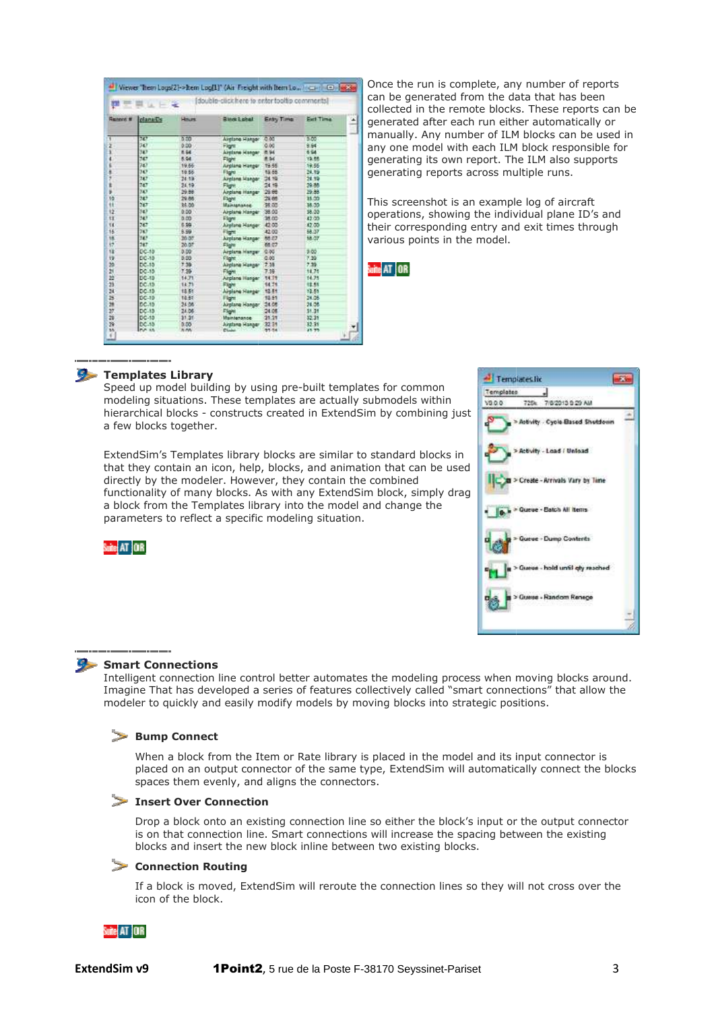|                  | double-click here to enter tooltip commental<br><b>List</b><br>冒 |              |                       |              |           |  |  |  |
|------------------|------------------------------------------------------------------|--------------|-----------------------|--------------|-----------|--|--|--|
| <b>Generit #</b> | clana@c                                                          | <b>Hours</b> | <b>River Lohal</b>    | Entry Time   | Earl Time |  |  |  |
|                  | 70                                                               | 0.00         | Aimisna Hansor        | 000          | 5.00      |  |  |  |
| ż                | 547                                                              | 0.00         | Florit                | 0.00         | 9.64      |  |  |  |
| ä                | 347                                                              | 8.54         | Airplane Harger       | 8.94         | 654       |  |  |  |
| 4                | 747                                                              | 8.94         | Flight                | 8.94         | 13.66     |  |  |  |
| k                | 747                                                              | 19.66        | Airplana Hanger       | 19.55        | 19.66     |  |  |  |
| ä                | $30^{3}$                                                         | 19.56        | Flore                 | 15.55        | 24.99     |  |  |  |
| ž                | 247                                                              | 34.5%        | Airplana Hangar       | 24.19        | 24.99     |  |  |  |
| ż                | 747                                                              | 34.49        | <b>Flight</b>         | <b>34 19</b> | 29.88     |  |  |  |
| s                | 80                                                               | 29.88        | Arplane Hanger        | 29.66        | 29.88     |  |  |  |
| 15               | 747                                                              | 29.88        | Flight                | 24.86        | 35.00     |  |  |  |
| ÷                | 747                                                              | 14.00        | <b>Маналалое</b>      | 36.00        | 38.55     |  |  |  |
| ŧΣ               | 347                                                              | 0.00         | Airplane Hanger 38.00 |              | \$8.55    |  |  |  |
| <b>IT</b>        | 347                                                              | 0.00         | Flore                 | 35.00        | 42.00     |  |  |  |
| $\mathbf{H}$     | 747                                                              | 6.99         | Airplane Hanger 42.00 |              | 47.00     |  |  |  |
| 15               | 243                                                              | 5.99         | il legisl             | 42.00        | 58.07     |  |  |  |
| 18.              | 747                                                              | 20:07        | Airplane Hanger       | 55.07        | 58.07     |  |  |  |
| 32               | 247                                                              | 20.07        | Flight                | 48.07        |           |  |  |  |
| w                | $0 - 10$                                                         | 0.00         | Airplana Hanger       | 0.80         | 9.00      |  |  |  |
| 19               | DC-10                                                            | 0.00         | Flight                | 0.00         | 7.20      |  |  |  |
| 39               | DC.15                                                            | 7.39         | Aintisma Hangar       | 7.35         | 7.39.     |  |  |  |
| 21               | DC.15                                                            | 7.35         | Flore                 | 7.39         | 14.75     |  |  |  |
| 益                | $DC-1D$                                                          | 14.71        | Arpland Hanger        | 34.75        | 14.75     |  |  |  |
| 23               | DC.1D                                                            | 14.71        | Flight                | 14.71        | 12.55     |  |  |  |
| 28               | $DC-1D$                                                          | 18.51        | Airplane Henper       | 12.51        | 13.55     |  |  |  |
| в                | $DC-10$                                                          | 14.61        | Flight                | 12.51        | 24.06     |  |  |  |
| 28               | DC.10                                                            | 24.06        | Airplane Hanser       | 24.08        | 24.06     |  |  |  |
| 27               | $DC-1D$                                                          | 24.06        | Flore                 | 24.05        | \$1.31    |  |  |  |
| ä                | DC-10                                                            | 31.31        | <b>Maintenance</b>    | 21.21        | 32.31     |  |  |  |
| 29               | DC.10                                                            | 0.00         | Aindana Hanser.       | 32.31        | 32.35     |  |  |  |
| <b>SA</b><br>c   | <b>PUP AB</b>                                                    | <b>NM</b>    | Chapel Corp.          | 31.54        | 15.75     |  |  |  |

Once the run is complete, any number of reports can be generated from the data that has been collected in the remote blocks. These reports can be generated after each run either automatically or manually. Any number of ILM blocks can be used in any one model with each ILM block responsible for generating its own report. The ILM also supports generating reports across multiple runs.

This screenshot is an example log of aircraft operations, showing the individual plane ID's and their corresponding entry and exit times through various points in the model.

Suite AT OR



## **Templates Library**

Speed up model building by using pre-built templates for common modeling situations. These templates are actually submodels within hierarchical blocks - constructs created in ExtendSim by combining just a few blocks together.

ExtendSim's Templates library blocks are similar to standard blocks in that they contain an icon, help, blocks, and animation that can be used directly by the modeler. However, they contain the combined functionality of many blocks. As with any ExtendSim block, simply drag a block from the Templates library into the model and change the parameters to reflect a specific modeling situation. nerated<br>nually.<br>, one m<br>nerating<br>nerating<br>s screer<br>rations<br>in corres<br>ious point<br>in the commodels<br>in that can<br>not lock, sin<br>change<br>lock, sin<br>change<br>tively can<br>thange model<br>tively can<br>thange model<br>tively can<br>thange model





### **Smart Connections**

Intelligent connection line control better automates the modeling process when moving blocks around. Imagine That has developed a series of features collectively called "smart connections" that allow the modeler to quickly and easily modify models by moving blocks into strategic positions. m the Templates library into the model and change the<br>sto reflect a specific modeling situation.<br><br>**The square-Bottle control better automates the modeling process when moving<br>and has developed a series of features collecti** 

### **Bump Connect**

 When a block from the Item or Rate library is placed in the model and its input connector is placed on an output connector of the same type, ExtendSim will automatically connect the blocks spaces them evenly, and aligns the connectors.

# **Insert Over Connection**

 Drop a block onto an existing connection line so either the block's input or the output connector is on that connection line. Smart connections will increase the spacing between the existing blocks and insert the new block inline between two existing blocks. locks

# **Connection Routing**

 If a block is moved, ExtendSim will reroute the connection lines so they will not cross over the icon of the block.

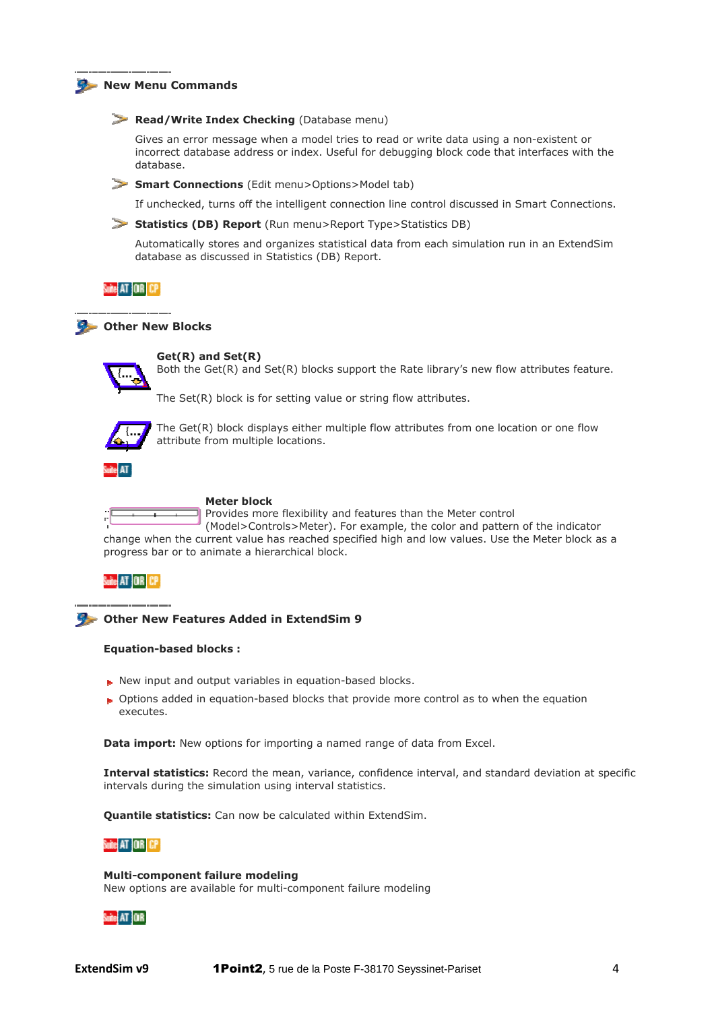#### **New Menu Commands**

#### **Read/Write Index Checking** (Database menu)

Gives an error message when a model tries to read or write data using a non-existent or incorrect database address or index. Useful for debugging block code that interfaces with the database.

**Smart Connections** (Edit menu>Options>Model tab)

If unchecked, turns off the intelligent connection line control discussed in Smart Connections Connections.

#### **Statistics (DB) Report** (Run menu>Report Type>Statistics DB)

 Automatically stores and organizes statistical data from each simulation run in an ExtendSim database as discussed in Statistics (DB) Report.

### Suite AT IOR ICP

# **Other New Blocks**



**Get(R) and Set(R)**

Both the Get(R) and Set(R) blocks support the Rate library's new flow attributes feature.

The Set(R) block is for setting value or string flow attributes.



The Get(R) block displays either multiple flow attributes from one location or one flow attribute from multiple locations.



#### **Meter block**

Provides more flexibility and features than the Me Meter control (Model>Controls>Meter). For example, the color and pattern of the indicator change when the current value has reached specified high and low values. Use the Meter block as a progress bar or to animate a hierarchical block. nore flexibility and features than the Meter<br>pntrols>Meter). For example, the color and<br>e has reached specified high and low value:<br>nierarchical block.<br>**d** in ExtendSim 9<br>bles in equation-based blocks.<br>based blocks that pr

# Suite AT OR CP

#### **Other New Features Added in ExtendSim 9**

#### **Equation-based blocks :**

- New input and output variables in equation-based blocks.
- Options added in equation-based blocks that provide more control as to when the equation executes.

**Data import:** New options for importing a named range of data from Excel.

**Interval statistics:** Record the mean, variance, confidence interval, and standard deviation at specific intervals during the simulation using interval statistics.

**Quantile statistics:** Can now be calculated within ExtendSim.

#### Suite AT OR CP

**Multi-component failure modeling component** New options are available for multi-component failure modeling

# de AT OR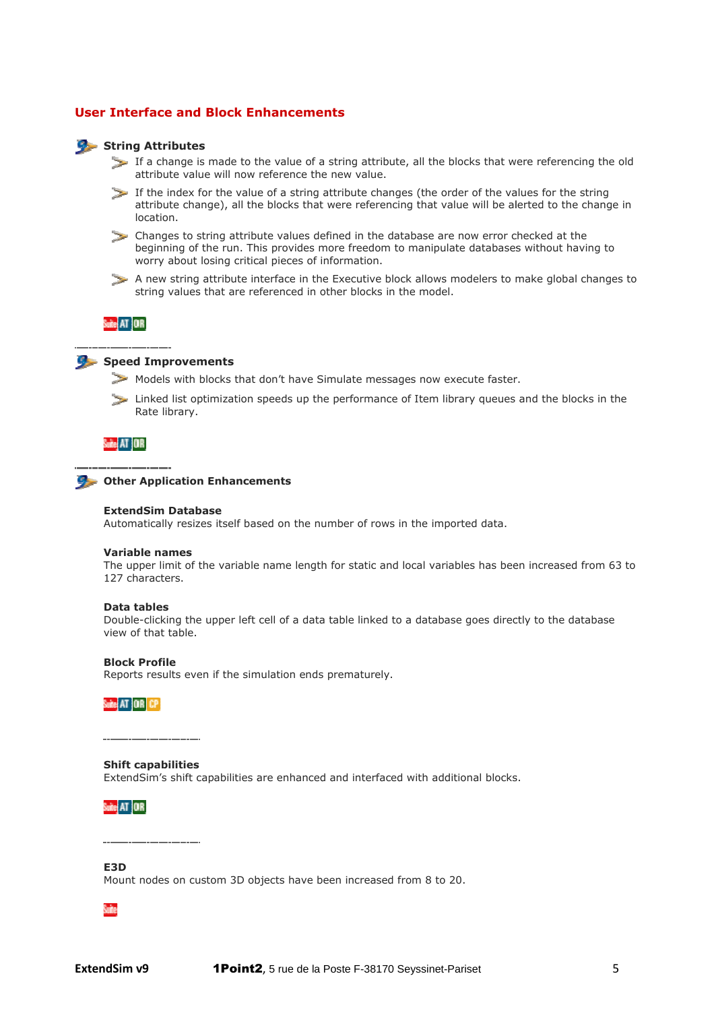# **User Interface and Block Enhancements**

#### **String Attributes**

- If a change is made to the value of a string attribute, all the blocks that were referencing the old attribute value will now reference the new value.
- If the index for the value of a string attribute changes (the order of the values for the string attribute change), all the blocks that were referencing that value will be alerted to the change in location.
- Changes to string attribute values defined in the database are now error checked at the beginning of the run. This provides more freedom to manipulate databases without having to worry about losing critical pieces of information.
- A new string attribute interface in the Executive block allows modelers to make global changes to string values that are referenced in other blocks in the model.

Suite AT OR



# **Speed Improvements**

- Models with blocks that don't have Simulate messages now execute faster.
- Linked list optimization speeds up the performance of Item library queues and the blocks in the Rate library.

Suite AT OR

#### **Other Application Enhancements**

#### **ExtendSim Database**

Automatically resizes itself based on the number of rows in the imported data.

#### **Variable names**

The upper limit of the variable name length for static and local variables has been increased from 63 to 127 characters.

#### **Data tables**

Double-clicking the upper left cell of a data table linked to a database goes directly to the database view of that table. licking the upper left cell of a data table linked to a database goes direct<br>hat table.<br>**.ofile**<br>results even if the simulation ends prematurely.<br>**.provides**<br>**pabilities**<br>m's shift capabilities are enhanced and interfaced

#### **Block Profile**

Reports results even if the simulation ends prematurely.

#### **Shift capabilities**

ExtendSim's shift capabilities are enhanced and interfaced with additional blocks.

#### Suite AT OR

#### **E3D**

Mount nodes on custom 3D objects have been increased from 8 to 20.

Šuite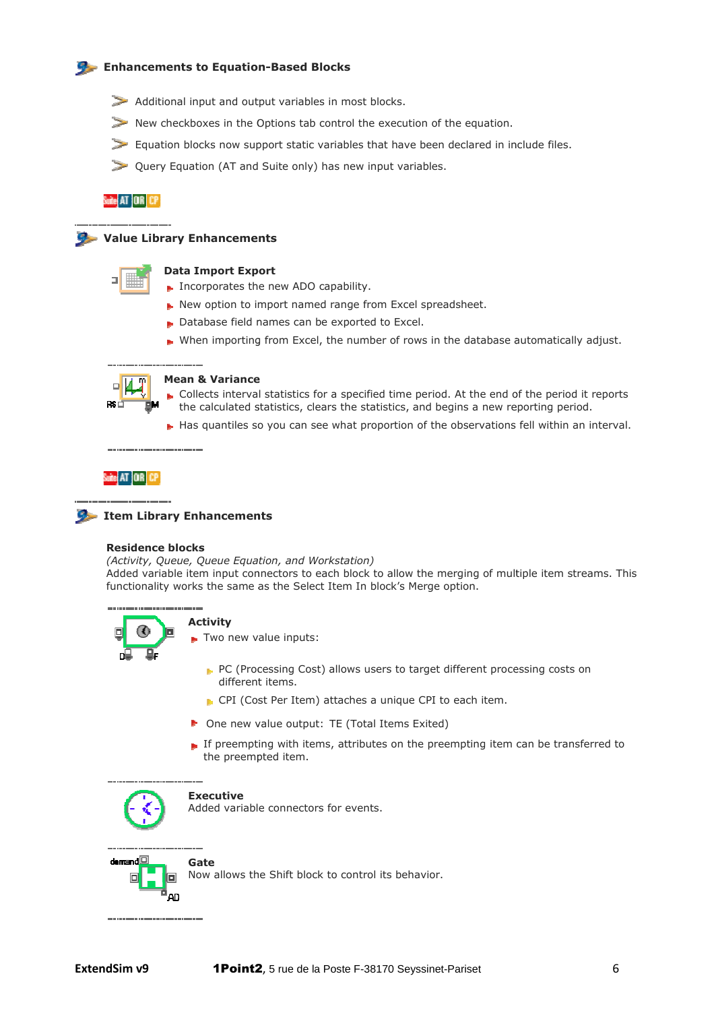# **Enhancements to Equation Equation-Based Blocks**

- Additional input and output variables in most blocks.
- New checkboxes in the Options tab control the execution of the equation.
- Equation blocks now support static variables that have been declared in include files.
- Query Equation (AT and Suite only) has new input variables.

# Suite AT OR CP

# **Value Library Enhancements**

|--|

#### **Data Import Export**

- Incorporates the new ADO capability.
- New option to import named range from Excel spreadsheet.
- Database field names can be exported to Excel.
- When importing from Excel, the number of rows in the database automatically adjust.



#### **Mean & Variance**

- Collects interval statistics for a specified time period. At the end of the period it reports the calculated statistics, clears the statistics, and begins a new reporting period.
- Has quantiles so you can see what proportion of the observations fell within an interval.

#### Suite AT OR CP



# **Item Library Enhancements**

#### **Residence blocks**

*(Activity, Queue, Queue Equation, and Workstation)* 

Added variable item input connectors to each block to allow the merging of multiple item streams. This functionality works the same as the Select Item In block's Merge option.



# **Activity**

Two new value inputs:

- PC (Processing Cost) allows users to target different processing costs on different items.
- **P** CPI (Cost Per Item) attaches a unique CPI to each item.
- One new value output: TE (Total Items Exited)
- If preempting with items, attributes on the preempting item can be transferred to the preempted item.



#### **Executive**

Added variable connectors for events.



Now allows the Shift block to control its behavior.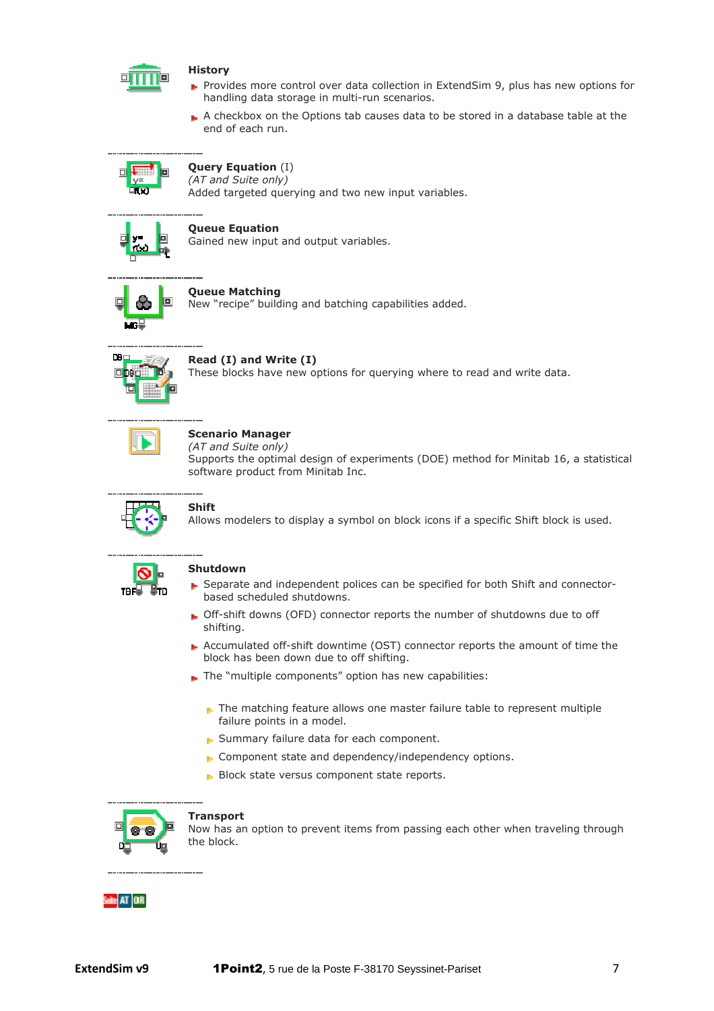

# **History**

- Provides more control over data collection in ExtendSim 9, plus has new options for handling data storage in multi-run scenarios.
- A checkbox on the Options tab causes data to be stored in a database table at the end of each run.



#### **Query Equation**  (I) *(AT and Suite only)*

Added targeted querying and two new input variables.



# **Queue Equation**

Gained new input and output variables.



# **Queue Matching**

New "recipe" building and batching capabilities added.



# **Read (I) and Write (I)**

These blocks have new options for querying where to read and write data.

# **Scenario Manager**

*(AT and Suite only)*

Supports the optimal design of experiments (DOE) method for Minitab 16, a statistical software product from Minitab Inc.



# **Shift**

Allows modelers to display a symbol on block icons if a specific Shift block is used.



# **Shutdown**

- Separate and independent polices can be specified for both Shift and connectorbased scheduled shutdowns.
- Off-shift downs (OFD) connector reports the number of shutdowns due to off shifting. Off-shift downs (OFD) connector reports the number of shutdowns due to off<br>shifting.<br>Accumulated off-shift downtime (OST) connector reports the amount of time the
- block has been down due to off shifting.
- The "multiple components" option has new capabilities:
	- $\blacktriangleright$  The matching feature allows one master failure table to represent multiple failure points in a model.
	- Summary failure data for each component.
	- **Component state and dependency/independency options.**
	- **Block state versus component state reports.**



#### **Transport**

Now has an option to prevent items from passing each other when traveling through the block.

# ite AT OR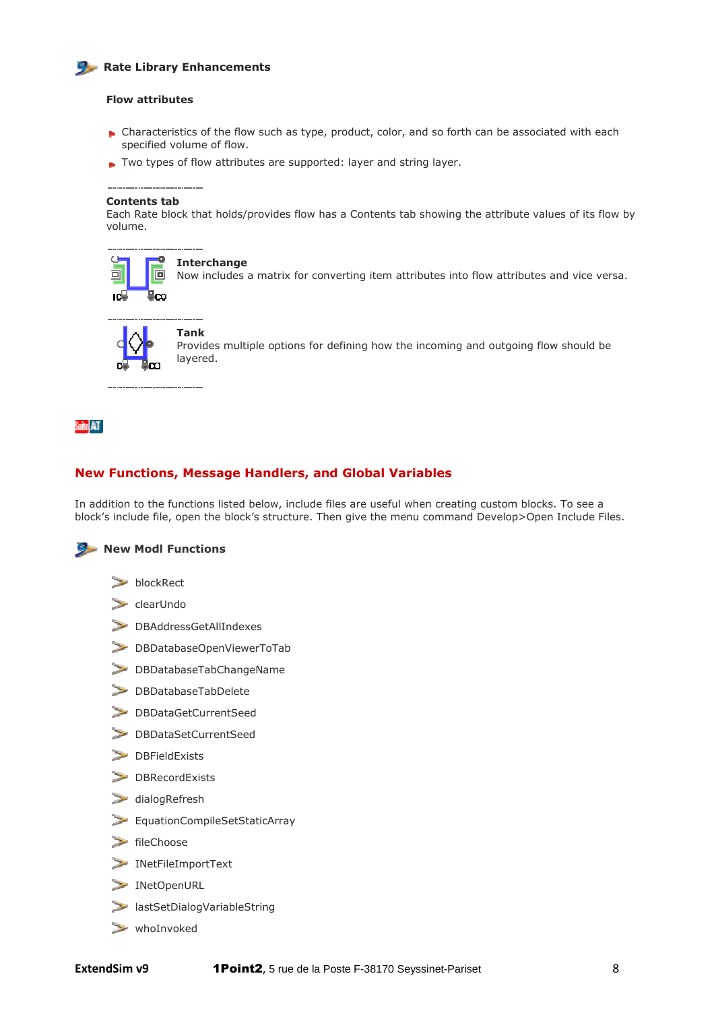# **Rate Library Enhancements**

# **Flow attributes**

- Characteristics of the flow such as type, product, color, and so forth can be associated with each specified volume of flow.
- Two types of flow attributes are supported: layer and string layer.

#### **Contents tab**

Each Rate block that holds/provides flow has a Contents tab showing the attribute values of its flow by volume.



#### **Interchange**

Now includes a matrix for converting item attributes into flow attributes and vice versa.



Provides multiple options for defining how the incoming and outgoing flow should be layered.

# Suite AT

# **New Functions, Message Handlers, and Global Variables**

In addition to the functions listed below, include files are useful when creating custom blocks. To see a block's include file, open the block's structure. Then give the menu command Develop>Open Include Files.



- **blockRect**
- $\ge$  clearUndo
- DBAddressGetAllIndexes
- DBDatabaseOpenViewerToTab
- DBDatabaseTabChangeName
- DBDatabaseTabDelete
- DBDataGetCurrentSeed
- DBDataSetCurrentSeed
- DBFieldExists
- DBRecordExists
- $\geq$  dialogRefresh
- EquationCompileSetStaticArray
- $\ge$  fileChoose
- INetFileImportText
- INetOpenURL
- lastSetDialogVariableString
- whoInvoked